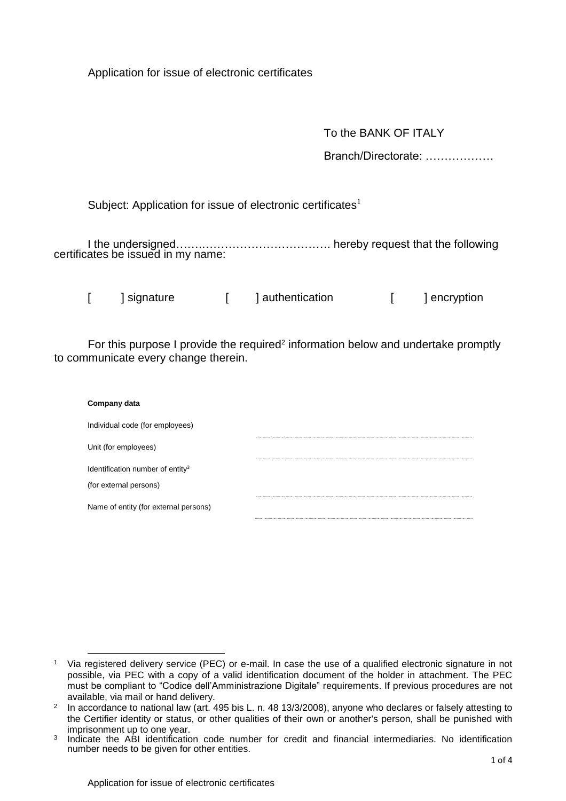Application for issue of electronic certificates

To the BANK OF ITALY

Branch/Directorate: ………………

Subject: Application for issue of electronic certificates<sup>1</sup>

I the undersigned…….……………………………. hereby request that the following certificates be issued in my name:

[ ] signature [ ] authentication [ ] encryption

For this purpose I provide the required<sup>2</sup> information below and undertake promptly to communicate every change therein.

| Company data                                 |  |
|----------------------------------------------|--|
| Individual code (for employees)              |  |
| Unit (for employees)                         |  |
| Identification number of entity <sup>3</sup> |  |
| (for external persons)                       |  |
| Name of entity (for external persons)        |  |
|                                              |  |

 $\overline{a}$ 

<sup>1</sup> Via registered delivery service (PEC) or e-mail. In case the use of a qualified electronic signature in not possible, via PEC with a copy of a valid identification document of the holder in attachment. The PEC must be compliant to "Codice dell'Amministrazione Digitale" requirements. If previous procedures are not available, via mail or hand delivery.

 $2$  In accordance to national law (art. 495 bis L. n. 48 13/3/2008), anyone who declares or falsely attesting to the Certifier identity or status, or other qualities of their own or another's person, shall be punished with imprisonment up to one year.

<sup>3</sup> Indicate the ABI identification code number for credit and financial intermediaries. No identification number needs to be given for other entities.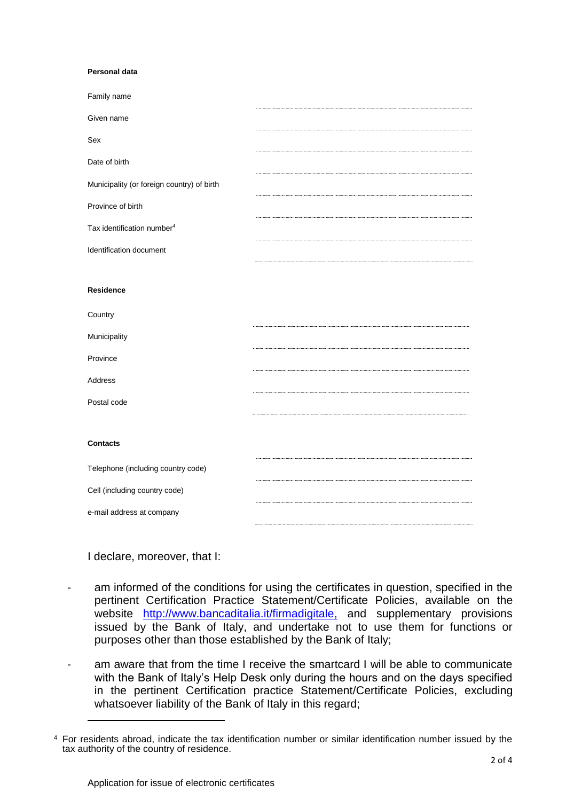## **Personal data**

| Family name                                |  |
|--------------------------------------------|--|
| Given name                                 |  |
| Sex                                        |  |
| Date of birth                              |  |
| Municipality (or foreign country) of birth |  |
| Province of birth                          |  |
| Tax identification number <sup>4</sup>     |  |
| Identification document                    |  |
|                                            |  |
| <b>Residence</b>                           |  |
| Country                                    |  |
| Municipality                               |  |
| Province                                   |  |
| Address                                    |  |
| Postal code                                |  |
|                                            |  |
| <b>Contacts</b>                            |  |
| Telephone (including country code)         |  |
| Cell (including country code)              |  |
| e-mail address at company                  |  |
|                                            |  |

I declare, moreover, that I:

 $\overline{a}$ 

- am informed of the conditions for using the certificates in question, specified in the pertinent Certification Practice Statement/Certificate Policies, available on the website [http://www.bancaditalia.it/firmadigitale,](http://www.bancaditalia.it/firmadigitale) and supplementary provisions issued by the Bank of Italy, and undertake not to use them for functions or purposes other than those established by the Bank of Italy;
- am aware that from the time I receive the smartcard I will be able to communicate with the Bank of Italy's Help Desk only during the hours and on the days specified in the pertinent Certification practice Statement/Certificate Policies, excluding whatsoever liability of the Bank of Italy in this regard;

<sup>4</sup> For residents abroad, indicate the tax identification number or similar identification number issued by the tax authority of the country of residence.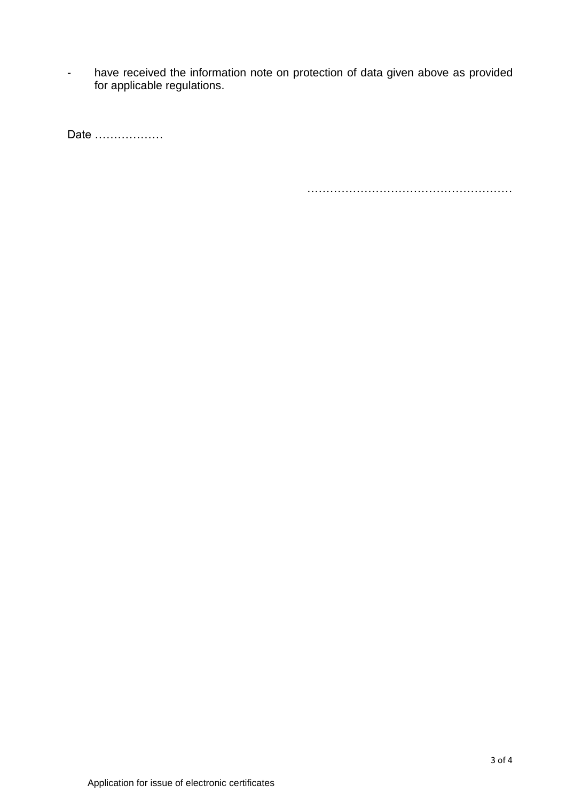- have received the information note on protection of data given above as provided for applicable regulations.

Date ………………

………………………………………………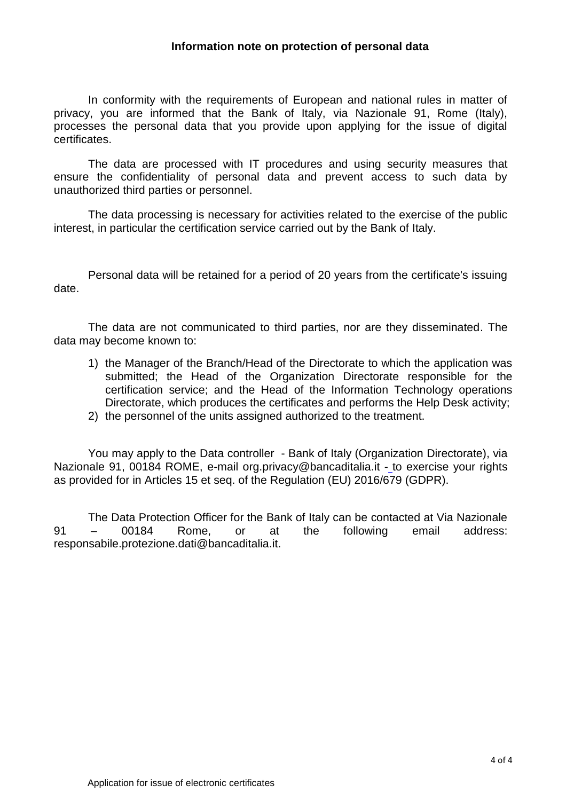## **Information note on protection of personal data**

In conformity with the requirements of European and national rules in matter of privacy, you are informed that the Bank of Italy, via Nazionale 91, Rome (Italy), processes the personal data that you provide upon applying for the issue of digital certificates.

The data are processed with IT procedures and using security measures that ensure the confidentiality of personal data and prevent access to such data by unauthorized third parties or personnel.

The data processing is necessary for activities related to the exercise of the public interest, in particular the certification service carried out by the Bank of Italy.

Personal data will be retained for a period of 20 years from the certificate's issuing date.

The data are not communicated to third parties, nor are they disseminated. The data may become known to:

- 1) the Manager of the Branch/Head of the Directorate to which the application was submitted; the Head of the Organization Directorate responsible for the certification service; and the Head of the Information Technology operations Directorate, which produces the certificates and performs the Help Desk activity;
- 2) the personnel of the units assigned authorized to the treatment.

You may apply to the Data controller - Bank of Italy (Organization Directorate), via Nazionale 91, 00184 ROME, e-mail org.privacy@bancaditalia.it - to exercise your rights as provided for in Articles 15 et seq. of the Regulation (EU) 2016/679 (GDPR).

The Data Protection Officer for the Bank of Italy can be contacted at Via Nazionale 91 – 00184 Rome, or at the following email address: responsabile.protezione.dati@bancaditalia.it.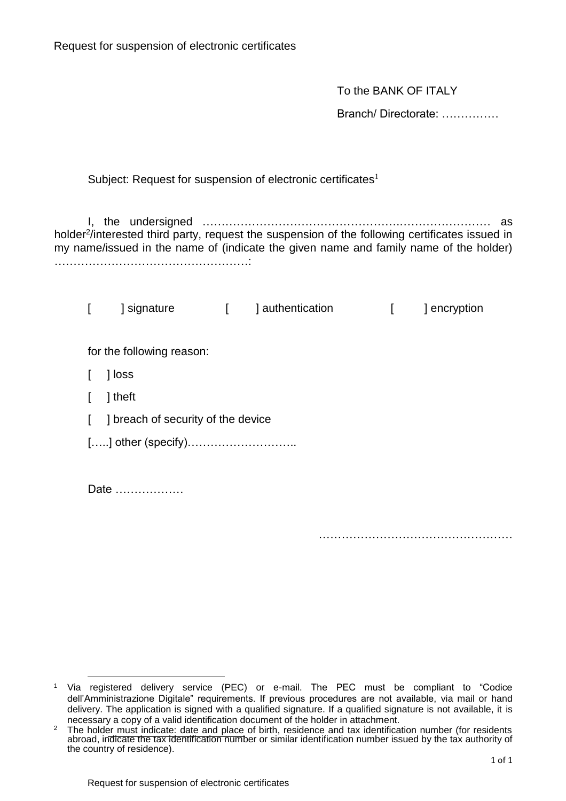To the BANK OF ITALY

Branch/ Directorate: ……………

Subject: Request for suspension of electronic certificates<sup>1</sup>

I, the undersigned …………………………………………….…………………… as holder<sup>2</sup>/interested third party, request the suspension of the following certificates issued in my name/issued in the name of (indicate the given name and family name of the holder) ……………………………………………:

[ ] signature [ ] authentication [ ] encryption for the following reason: [ ] loss [ ] theft [ ] breach of security of the device […..] other (specify)……………………….. Date ………………

…………………………………………………

1

<sup>1</sup> Via registered delivery service (PEC) or e-mail. The PEC must be compliant to "Codice dell'Amministrazione Digitale" requirements. If previous procedures are not available, via mail or hand delivery. The application is signed with a qualified signature. If a qualified signature is not available, it is necessary a copy of a valid identification document of the holder in attachment.

 $2$  The holder must indicate: date and place of birth, residence and tax identification number (for residents abroad, indicate the tax identification number or similar identification number issued by the tax authority of the country of residence).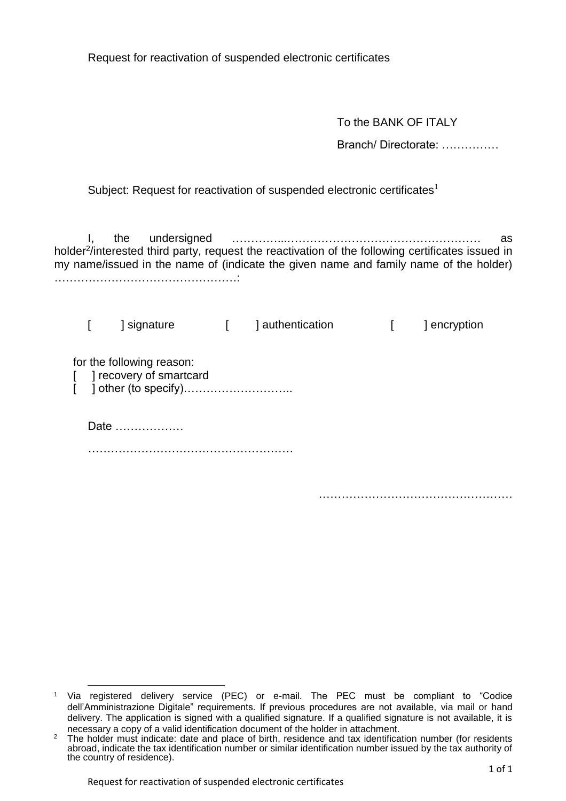Request for reactivation of suspended electronic certificates

To the BANK OF ITALY

Branch/ Directorate: ……………

……………………………………………

Subject: Request for reactivation of suspended electronic certificates $<sup>1</sup>$ </sup>

I, the undersigned …………...…………………………………………… as holder<sup>2</sup>/interested third party, request the reactivation of the following certificates issued in my name/issued in the name of (indicate the given name and family name of the holder) …………………………………………:

[ ] signature [ ] authentication [ ] encryption for the following reason: [ ] recovery of smartcard [ ] other (to specify)……………………….. Date ……………… ………………………………………………

<sup>1</sup> Via registered delivery service (PEC) or e-mail. The PEC must be compliant to "Codice dell'Amministrazione Digitale" requirements. If previous procedures are not available, via mail or hand delivery. The application is signed with a qualified signature. If a qualified signature is not available, it is necessary a copy of a valid identification document of the holder in attachment.

 $\overline{a}$ 

<sup>&</sup>lt;sup>2</sup> The holder must indicate: date and place of birth, residence and tax identification number (for residents abroad, indicate the tax identification number or similar identification number issued by the tax authority of the country of residence).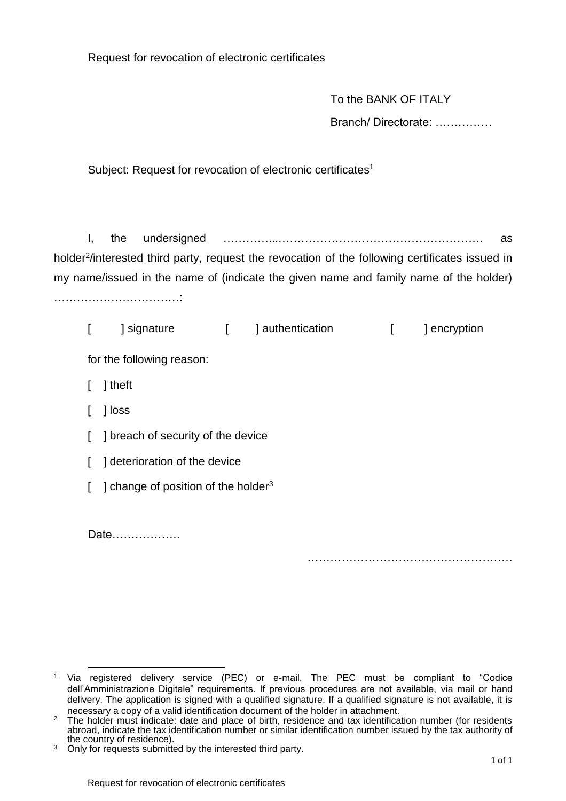Request for revocation of electronic certificates

|                                                                                                                                                                                                      | To the BANK OF ITALY               |                                                 |              |                  |  |                  |                     |  |
|------------------------------------------------------------------------------------------------------------------------------------------------------------------------------------------------------|------------------------------------|-------------------------------------------------|--------------|------------------|--|------------------|---------------------|--|
|                                                                                                                                                                                                      |                                    |                                                 |              |                  |  |                  | Branch/Directorate: |  |
|                                                                                                                                                                                                      |                                    |                                                 |              |                  |  |                  |                     |  |
| Subject: Request for revocation of electronic certificates <sup>1</sup>                                                                                                                              |                                    |                                                 |              |                  |  |                  |                     |  |
|                                                                                                                                                                                                      |                                    |                                                 |              |                  |  |                  |                     |  |
|                                                                                                                                                                                                      |                                    |                                                 |              |                  |  |                  |                     |  |
| Ι,                                                                                                                                                                                                   | the                                | undersigned                                     |              |                  |  |                  | as                  |  |
| holder <sup>2</sup> /interested third party, request the revocation of the following certificates issued in<br>my name/issued in the name of (indicate the given name and family name of the holder) |                                    |                                                 |              |                  |  |                  |                     |  |
|                                                                                                                                                                                                      |                                    |                                                 |              |                  |  |                  |                     |  |
|                                                                                                                                                                                                      |                                    |                                                 |              |                  |  |                  |                     |  |
| $\Gamma$                                                                                                                                                                                             | ] signature                        |                                                 | $\mathbf{L}$ | ] authentication |  | $\left[ \right]$ | ] encryption        |  |
| for the following reason:                                                                                                                                                                            |                                    |                                                 |              |                  |  |                  |                     |  |
|                                                                                                                                                                                                      | ] theft                            |                                                 |              |                  |  |                  |                     |  |
|                                                                                                                                                                                                      | ] loss                             |                                                 |              |                  |  |                  |                     |  |
| I                                                                                                                                                                                                    | ] breach of security of the device |                                                 |              |                  |  |                  |                     |  |
| $\mathbf{I}$                                                                                                                                                                                         | ] deterioration of the device      |                                                 |              |                  |  |                  |                     |  |
| L                                                                                                                                                                                                    |                                    | ] change of position of the holder <sup>3</sup> |              |                  |  |                  |                     |  |
|                                                                                                                                                                                                      |                                    |                                                 |              |                  |  |                  |                     |  |
|                                                                                                                                                                                                      | Date                               |                                                 |              |                  |  |                  |                     |  |
|                                                                                                                                                                                                      |                                    |                                                 |              |                  |  |                  |                     |  |

 $\overline{a}$ <sup>1</sup> Via registered delivery service (PEC) or e-mail. The PEC must be compliant to "Codice dell'Amministrazione Digitale" requirements. If previous procedures are not available, via mail or hand delivery. The application is signed with a qualified signature. If a qualified signature is not available, it is necessary a copy of a valid identification document of the holder in attachment.

<sup>&</sup>lt;sup>2</sup> The holder must indicate: date and place of birth, residence and tax identification number (for residents abroad, indicate the tax identification number or similar identification number issued by the tax authority of the country of residence).

<sup>&</sup>lt;sup>3</sup> Only for requests submitted by the interested third party.